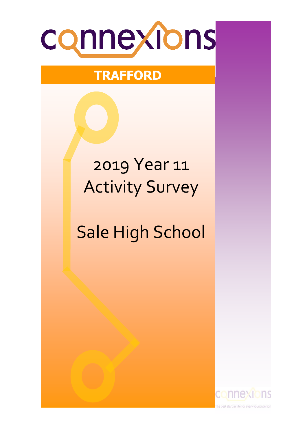

# **TRAFFORD**

# 2019 Year 11 Activity Survey

# Sale High School

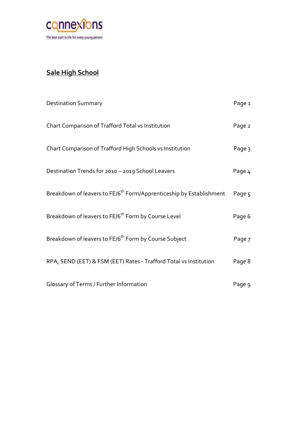

## **Sale High School**

| <b>Destination Summary</b>                                                      | Page 1 |
|---------------------------------------------------------------------------------|--------|
| Chart Comparison of Trafford Total vs Institution                               | Page 2 |
| Chart Comparison of Trafford High Schools vs Institution                        | Page 3 |
| Destination Trends for 2010 - 2019 School Leavers                               | Page 4 |
| Breakdown of leavers to FE/6 <sup>th</sup> Form/Apprenticeship by Establishment | Page 5 |
| Breakdown of leavers to FE/6 <sup>th</sup> Form by Course Level                 | Page 6 |
| Breakdown of leavers to FE/6 <sup>th</sup> Form by Course Subject               | Page 7 |
| RPA, SEND (EET) & FSM (EET) Rates - Trafford Total vs Institution               | Page 8 |
| Glossary of Terms / Further Information                                         | Page 9 |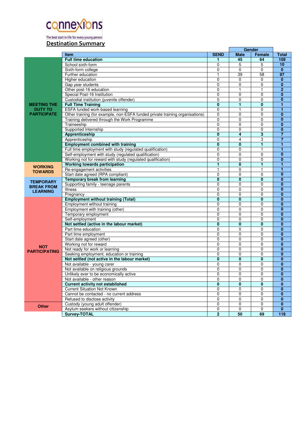

The best start in life for every young person

#### **Destination Summary**

|                      | Gender                                                                       |                         |                |                         |                         |
|----------------------|------------------------------------------------------------------------------|-------------------------|----------------|-------------------------|-------------------------|
|                      | Item                                                                         | <b>SEND</b>             | <b>Male</b>    | Female                  | <b>Total</b>            |
|                      | <b>Full time education</b>                                                   |                         | 45             | 64                      | 109                     |
|                      | School sixth-form                                                            | 0                       | 5              | 5                       | 10                      |
|                      | Sixth-form college                                                           | 0                       | 0              | 0                       | $\mathbf{0}$            |
|                      | Further education                                                            | 1                       | 39             | 58                      | 97                      |
|                      | Higher education                                                             | $\overline{0}$          | $\mathbf 0$    | $\mathbf 0$             | $\overline{0}$          |
|                      | Gap year students                                                            | $\Omega$                | $\Omega$       | $\Omega$                | $\bf{0}$                |
|                      | Other post-16 education                                                      | $\overline{0}$          | $\mathbf{1}$   | 1                       | $\overline{2}$          |
|                      | Special Post-16 Institution                                                  | $\Omega$                | $\Omega$       | $\Omega$                | $\mathbf{0}$            |
|                      | Custodial institution (juvenile offender)                                    | $\overline{0}$          | $\mathbf{0}$   | $\mathbf 0$             | $\overline{0}$          |
| <b>MEETING THE</b>   | <b>Full Time Training</b>                                                    | $\overline{\mathbf{0}}$ | $\overline{1}$ | $\overline{\mathbf{0}}$ | $\overline{1}$          |
| <b>DUTY TO</b>       | ESFA funded work-based learning                                              | 0                       | $\mathbf{1}$   | 0                       | 1                       |
| <b>PARTICIPATE</b>   | Other training (for example, non-ESFA funded private training organisations) | 0                       | $\mathbf 0$    | 0                       | $\overline{\mathbf{0}}$ |
|                      | Training delivered through the Work Programme                                | $\mathbf 0$             | $\Omega$       | $\Omega$                | $\mathbf{0}$            |
|                      | Traineeship                                                                  | $\overline{0}$          | $\mathbf{0}$   | 0                       | $\overline{0}$          |
|                      | Supported Internship                                                         | $\overline{0}$          | $\mathbf 0$    | 0                       | $\bf{0}$                |
|                      | Apprenticeship                                                               | $\mathbf{0}$            | $\overline{4}$ | 3                       | $\overline{7}$          |
|                      | Apprenticeship                                                               | $\overline{0}$          | $\overline{4}$ | 3                       | $\overline{7}$          |
|                      | <b>Employment combined with training</b>                                     | $\bf{0}$                | 0              | 1                       | 1                       |
|                      | Full time employment with study (regulated qualification)                    | 0                       | $\mathbf{0}$   | 1                       | 1                       |
|                      | Self-employment with study (regulated qualification)                         | 0                       | $\mathbf 0$    | 0                       | $\overline{0}$          |
|                      | Working not for reward with study (regulated qualification)                  | 0                       | $\Omega$       | 0                       | $\overline{0}$          |
|                      | Working towards participation                                                | $\overline{1}$          | $\bf{0}$       | 1                       | $\overline{1}$          |
| <b>WORKING</b>       | Re-engagement activities                                                     | $\mathbf{1}$            | $\mathbf 0$    | $\mathbf{1}$            | $\overline{1}$          |
| <b>TOWARDS</b>       | Start date agreed (RPA compliant)                                            | 0                       | $\Omega$       | $\Omega$                | $\bf{0}$                |
|                      | <b>Temporary break from learning</b>                                         | 0                       | $\mathbf{0}$   | $\bf{0}$                | $\overline{0}$          |
| <b>TEMPORARY</b>     | Supporting family - teenage parents                                          | 0                       | $\Omega$       | $\Omega$                | $\mathbf{0}$            |
| <b>BREAK FROM</b>    | Illness                                                                      | 0                       | $\mathbf 0$    | 0                       | $\mathbf{0}$            |
| <b>LEARNING</b>      | Pregnancy                                                                    | $\overline{0}$          | $\mathbf 0$    | $\mathbf 0$             | $\overline{0}$          |
|                      | <b>Employment without training (Total)</b>                                   | $\bf{0}$                | $\bf{0}$       | $\bf{0}$                | $\bf{0}$                |
|                      | Employment without training                                                  | 0                       | $\mathbf 0$    | $\overline{0}$          | $\overline{0}$          |
|                      | Employment with training (other)                                             | $\Omega$                | $\Omega$       | $\Omega$                | $\mathbf{0}$            |
|                      | Temporary employment                                                         | $\mathbf 0$             | $\mathbf 0$    | $\mathbf 0$             | $\overline{0}$          |
|                      | Self-employment                                                              | $\overline{0}$          | $\overline{0}$ | $\overline{0}$          | $\overline{\mathbf{0}}$ |
|                      | Not settled (active in the labour market)                                    | 0                       | $\bf{0}$       | 0                       | $\bf{0}$                |
|                      | Part time education                                                          | 0                       | $\mathbf 0$    | $\Omega$                | $\mathbf{0}$            |
|                      | Part time employment                                                         | $\overline{0}$          | $\mathbf 0$    | $\mathbf 0$             | $\overline{0}$          |
|                      | Start date agreed (other)                                                    | $\mathbf 0$             | $\mathbf{0}$   | $\Omega$                | $\bf{0}$                |
|                      | Working not for reward                                                       | $\mathbf 0$             | $\mathbf 0$    | 0                       | $\overline{0}$          |
| <b>NOT</b>           | Not ready for work or learning                                               | 0                       | $\mathbf 0$    | $\mathbf 0$             | $\overline{0}$          |
| <b>PARTICIPATING</b> | Seeking employment, education or training                                    | 0                       | $\Omega$       | $\mathbf{0}$            | $\mathbf{0}$            |
|                      | Not settled (not active in the labour market)                                | $\mathbf{0}$            | $\bf{0}$       | $\bf{0}$                | $\overline{0}$          |
|                      | Not available - young carer                                                  | 0                       | $\mathbf 0$    | $\mathbf 0$             | $\overline{0}$          |
|                      | Not available on religious grounds                                           | 0                       | $\mathbf{0}$   | 0                       | $\overline{0}$          |
|                      | Unlikely ever to be economically active                                      | 0                       | 0              | $\mathbf 0$             | $\overline{0}$          |
|                      | Not available - other reason                                                 | $\Omega$                | $\Omega$       | $\Omega$                | $\overline{0}$          |
|                      | <b>Current activity not established</b>                                      | $\overline{\mathbf{0}}$ | $\mathbf{0}$   | $\mathbf{0}$            | $\overline{0}$          |
|                      | <b>Current Situation Not Known</b>                                           | 0                       | $\Omega$       | $\Omega$                | $\bf{0}$                |
|                      | Cannot be contacted - no current address                                     | $\overline{0}$          | 0              | 0                       | $\overline{0}$          |
|                      | Refused to disclose activity                                                 | 0                       | $\mathbf 0$    | 0                       | $\overline{0}$          |
|                      | Custody (young adult offender)                                               | 0                       | $\mathbf 0$    | $\mathbf 0$             | $\mathbf{0}$            |
| <b>Other</b>         | Asylum seekers without citizenship                                           | $\overline{0}$          | $\mathbf 0$    | $\mathbf 0$             | $\bf{0}$                |
|                      | Survey-TOTAL                                                                 | $\overline{2}$          | 50             | 69                      | 119                     |
|                      |                                                                              |                         |                |                         |                         |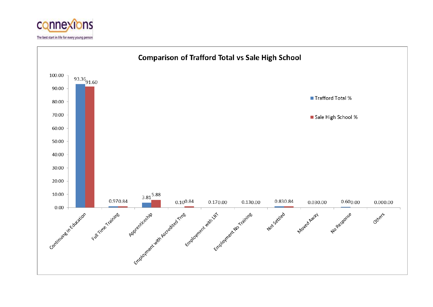

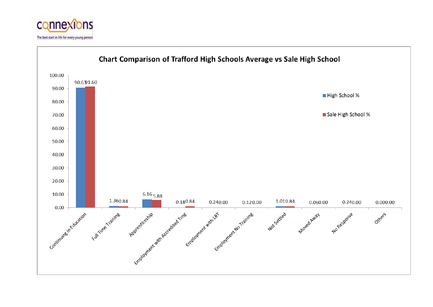

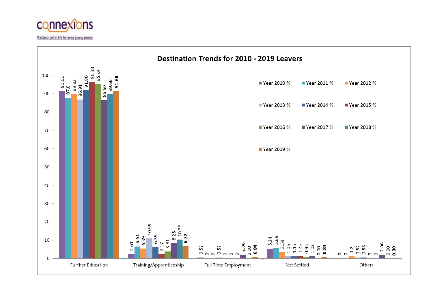

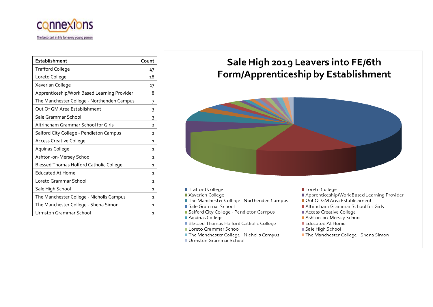

| <b>Establishment</b>                        | Count          |
|---------------------------------------------|----------------|
| <b>Trafford College</b>                     | 47             |
| Loreto College                              | 18             |
| Xaverian College                            | 17             |
| Apprenticeship/Work Based Learning Provider | 8              |
| The Manchester College - Northenden Campus  | 7              |
| Out Of GM Area Establishment                | 3              |
| Sale Grammar School                         | 3              |
| Altrincham Grammar School for Girls         | $\overline{2}$ |
| Salford City College - Pendleton Campus     | $\overline{2}$ |
| <b>Access Creative College</b>              | 1              |
| Aquinas College                             | 1              |
| Ashton-on-Mersey School                     | 1              |
| Blessed Thomas Holford Catholic College     | 1              |
| Educated At Home                            | 1              |
| Loreto Grammar School                       | 1              |
| Sale High School                            | 1              |
| The Manchester College - Nicholls Campus    | 1              |
| The Manchester College - Shena Simon        | 1              |
| Urmston Grammar School                      | 1              |

# Sale High 2019 Leavers into FE/6th **Form/Apprenticeship by Establishment**



- Trafford College
- Xaverian College
- The Manchester College Northenden Campus
- Sale Grammar School
- Salford City College Pendleton Campus
- Aquinas College
- Blessed Thomas Holford Catholic College
- Loreto Grammar School
- The Manchester College Nicholls Campus
- Urmston Grammar School
- Loreto College
- Apprenticeship/Work Based Learning Provider
- Out Of GM Area Establishment
- Altrincham Grammar School for Girls
- Access Creative College
- Ashton-on-Mersey School
- Educated At Home
- Sale High School
- The Manchester College Shena Simon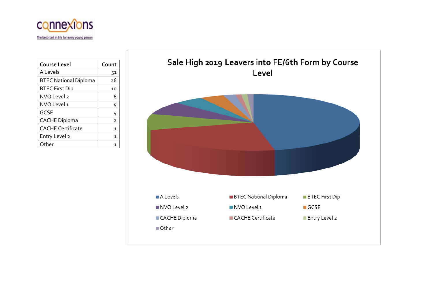

| Course Level                 | Count |
|------------------------------|-------|
| A Levels                     | 51    |
| <b>BTEC National Diploma</b> | 26    |
| <b>BTEC First Dip</b>        | 10    |
| NVO Level 2                  | 8     |
| NVO Level 1                  | 5     |
| <b>GCSE</b>                  | 4     |
| <b>CACHE Diploma</b>         | 2     |
| <b>CACHE Certificate</b>     | 1     |
| Entry Level 2                | 1     |
| Other                        |       |

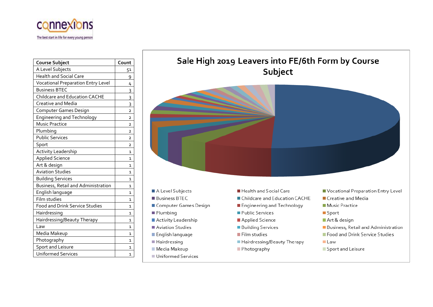

| <b>Course Subject</b>                     | Count          |
|-------------------------------------------|----------------|
| A Level Subjects                          | 51             |
| <b>Health and Social Care</b>             | 9              |
| <b>Vocational Preparation Entry Level</b> | 4              |
| <b>Business BTEC</b>                      | 3              |
| Childcare and Education CACHE             | 3              |
| <b>Creative and Media</b>                 | 3              |
| Computer Games Design                     | $\overline{2}$ |
| <b>Engineering and Technology</b>         | $\overline{2}$ |
| <b>Music Practice</b>                     | 2              |
| Plumbing                                  | $\overline{2}$ |
| <b>Public Services</b>                    | $\overline{2}$ |
| Sport                                     | 2              |
| <b>Activity Leadership</b>                | 1              |
| <b>Applied Science</b>                    | 1              |
| Art & design                              | $\mathbf{1}$   |
| <b>Aviation Studies</b>                   | 1              |
| <b>Building Services</b>                  | $\mathbf{1}$   |
| Business, Retail and Administration       | $\mathbf{1}$   |
| English language                          | 1              |
| Film studies                              | $\mathbf{1}$   |
| <b>Food and Drink Service Studies</b>     | $\mathbf{1}$   |
| Hairdressing                              | 1              |
| Hairdressing/Beauty Therapy               | $\mathbf{1}$   |
| Law                                       | $\mathbf{1}$   |
| Media Makeup                              | 1              |
| Photography                               | 1              |
| <b>Sport and Leisure</b>                  | 1              |
| <b>Uniformed Services</b>                 | 1              |

## Sale High 2019 Leavers into FE/6th Form by Course Subject

- A Level Subjects
- **Business BTEC**
- Computer Games Design
- Plumbing
- Activity Leadership
- Aviation Studies
- English language
- Hairdressing
- Media Makeup
- Uniformed Services
- Health and Social Care
- Childcare and Education CACHE
- Engineering and Technology
- Public Services
- Applied Science
- **Building Services**
- Film studies
- Hairdressing/Beauty Therapy
- Photography
- Vocational Preparation Entry Level
- Creative and Media
- Music Practice
- Sport
- Art & design
- Business, Retail and Administration
- Food and Drink Service Studies
- $\blacksquare$  Law
- Sport and Leisure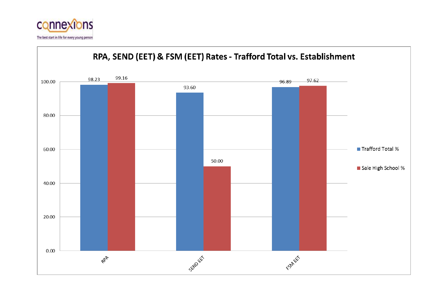